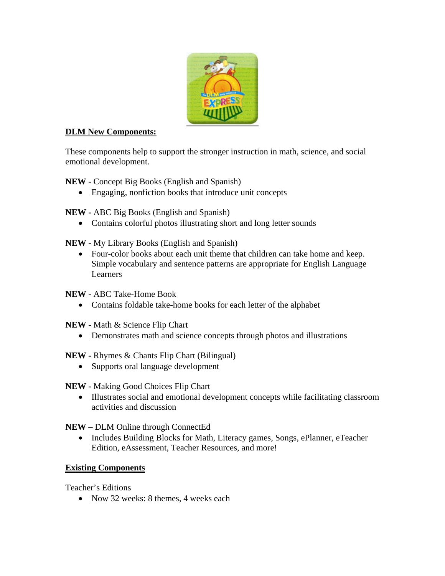

## **DLM New Components:**

These components help to support the stronger instruction in math, science, and social emotional development.

**NEW** - Concept Big Books (English and Spanish)

• Engaging, nonfiction books that introduce unit concepts

**NEW -** ABC Big Books (English and Spanish)

• Contains colorful photos illustrating short and long letter sounds

**NEW -** My Library Books (English and Spanish)

• Four-color books about each unit theme that children can take home and keep. Simple vocabulary and sentence patterns are appropriate for English Language Learners

**NEW -** ABC Take-Home Book

• Contains foldable take-home books for each letter of the alphabet

**NEW -** Math & Science Flip Chart

- Demonstrates math and science concepts through photos and illustrations
- **NEW** Rhymes & Chants Flip Chart (Bilingual)
	- Supports oral language development

**NEW -** Making Good Choices Flip Chart

• Illustrates social and emotional development concepts while facilitating classroom activities and discussion

**NEW –** DLM Online through ConnectEd

• Includes Building Blocks for Math, Literacy games, Songs, ePlanner, eTeacher Edition, eAssessment, Teacher Resources, and more!

## **Existing Components**

Teacher's Editions

• Now 32 weeks: 8 themes, 4 weeks each